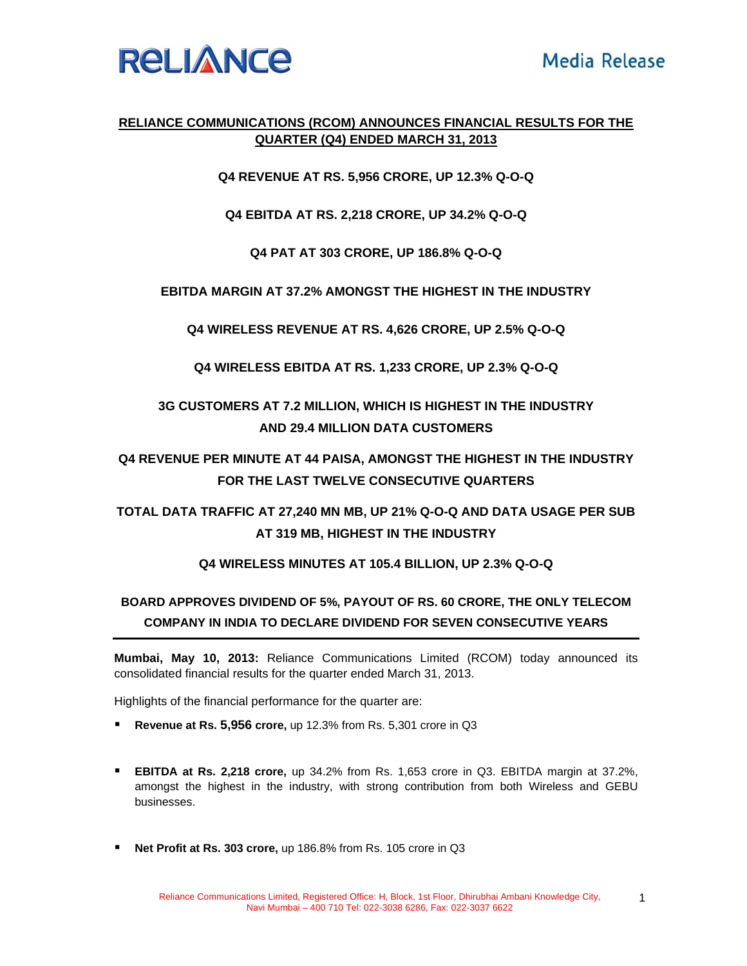

## **RELIANCE COMMUNICATIONS (RCOM) ANNOUNCES FINANCIAL RESULTS FOR THE QUARTER (Q4) ENDED MARCH 31, 2013**

**Q4 REVENUE AT RS. 5,956 CRORE, UP 12.3% Q-O-Q** 

**Q4 EBITDA AT RS. 2,218 CRORE, UP 34.2% Q-O-Q** 

**Q4 PAT AT 303 CRORE, UP 186.8% Q-O-Q** 

**EBITDA MARGIN AT 37.2% AMONGST THE HIGHEST IN THE INDUSTRY** 

**Q4 WIRELESS REVENUE AT RS. 4,626 CRORE, UP 2.5% Q-O-Q** 

**Q4 WIRELESS EBITDA AT RS. 1,233 CRORE, UP 2.3% Q-O-Q** 

**3G CUSTOMERS AT 7.2 MILLION, WHICH IS HIGHEST IN THE INDUSTRY AND 29.4 MILLION DATA CUSTOMERS** 

**Q4 REVENUE PER MINUTE AT 44 PAISA, AMONGST THE HIGHEST IN THE INDUSTRY FOR THE LAST TWELVE CONSECUTIVE QUARTERS** 

**TOTAL DATA TRAFFIC AT 27,240 MN MB, UP 21% Q-O-Q AND DATA USAGE PER SUB AT 319 MB, HIGHEST IN THE INDUSTRY** 

**Q4 WIRELESS MINUTES AT 105.4 BILLION, UP 2.3% Q-O-Q** 

# **BOARD APPROVES DIVIDEND OF 5%, PAYOUT OF RS. 60 CRORE, THE ONLY TELECOM COMPANY IN INDIA TO DECLARE DIVIDEND FOR SEVEN CONSECUTIVE YEARS**

**Mumbai, May 10, 2013:** Reliance Communications Limited (RCOM) today announced its consolidated financial results for the quarter ended March 31, 2013.

Highlights of the financial performance for the quarter are:

- **Revenue at Rs. 5,956 crore,** up 12.3% from Rs. 5,301 crore in Q3
- **EBITDA at Rs. 2,218 crore,** up 34.2% from Rs. 1,653 crore in Q3. EBITDA margin at 37.2%, amongst the highest in the industry, with strong contribution from both Wireless and GEBU businesses.
- **Net Profit at Rs. 303 crore,** up 186.8% from Rs. 105 crore in Q3

1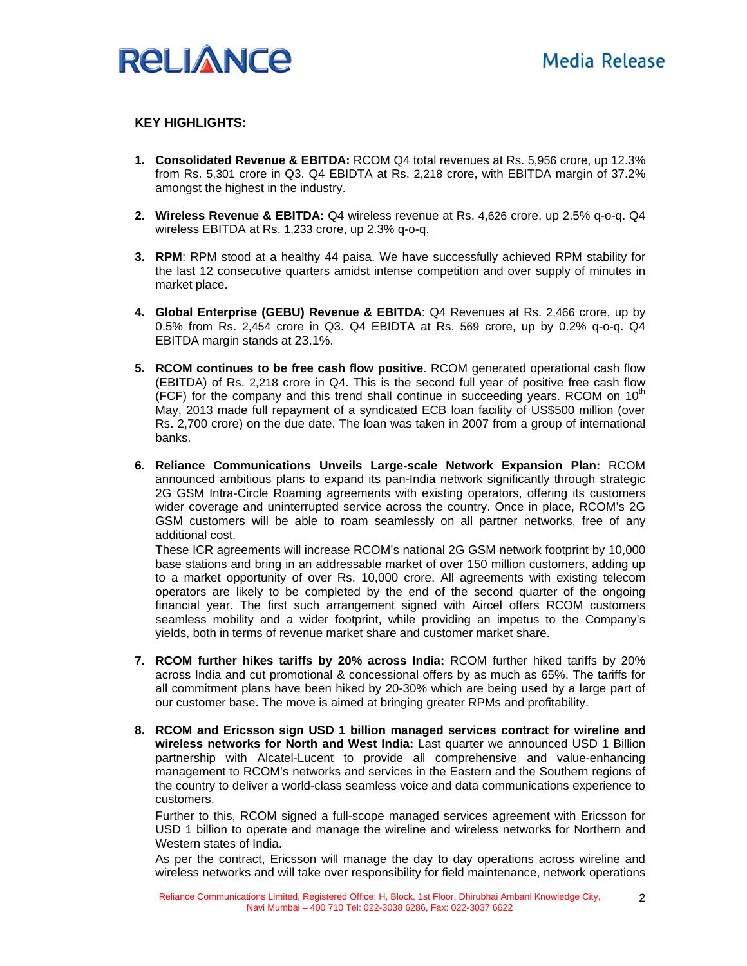

#### **KEY HIGHLIGHTS:**

- **1. Consolidated Revenue & EBITDA:** RCOM Q4 total revenues at Rs. 5,956 crore, up 12.3% from Rs. 5,301 crore in Q3. Q4 EBIDTA at Rs. 2,218 crore, with EBITDA margin of 37.2% amongst the highest in the industry.
- **2. Wireless Revenue & EBITDA:** Q4 wireless revenue at Rs. 4,626 crore, up 2.5% q-o-q. Q4 wireless EBITDA at Rs. 1,233 crore, up 2.3% q-o-q.
- **3. RPM**: RPM stood at a healthy 44 paisa. We have successfully achieved RPM stability for the last 12 consecutive quarters amidst intense competition and over supply of minutes in market place.
- **4. Global Enterprise (GEBU) Revenue & EBITDA**: Q4 Revenues at Rs. 2,466 crore, up by 0.5% from Rs. 2,454 crore in Q3. Q4 EBIDTA at Rs. 569 crore, up by 0.2% q-o-q. Q4 EBITDA margin stands at 23.1%.
- **5. RCOM continues to be free cash flow positive**. RCOM generated operational cash flow (EBITDA) of Rs. 2,218 crore in Q4. This is the second full year of positive free cash flow (FCF) for the company and this trend shall continue in succeeding years. RCOM on  $10<sup>th</sup>$ May, 2013 made full repayment of a syndicated ECB loan facility of US\$500 million (over Rs. 2,700 crore) on the due date. The loan was taken in 2007 from a group of international banks.
- **6. Reliance Communications Unveils Large-scale Network Expansion Plan:** RCOM announced ambitious plans to expand its pan-India network significantly through strategic 2G GSM Intra-Circle Roaming agreements with existing operators, offering its customers wider coverage and uninterrupted service across the country. Once in place, RCOM's 2G GSM customers will be able to roam seamlessly on all partner networks, free of any additional cost.

These ICR agreements will increase RCOM's national 2G GSM network footprint by 10,000 base stations and bring in an addressable market of over 150 million customers, adding up to a market opportunity of over Rs. 10,000 crore. All agreements with existing telecom operators are likely to be completed by the end of the second quarter of the ongoing financial year. The first such arrangement signed with Aircel offers RCOM customers seamless mobility and a wider footprint, while providing an impetus to the Company's yields, both in terms of revenue market share and customer market share.

- **7. RCOM further hikes tariffs by 20% across India:** RCOM further hiked tariffs by 20% across India and cut promotional & concessional offers by as much as 65%. The tariffs for all commitment plans have been hiked by 20-30% which are being used by a large part of our customer base. The move is aimed at bringing greater RPMs and profitability.
- **8. RCOM and Ericsson sign USD 1 billion managed services contract for wireline and wireless networks for North and West India:** Last quarter we announced USD 1 Billion partnership with Alcatel-Lucent to provide all comprehensive and value-enhancing management to RCOM's networks and services in the Eastern and the Southern regions of the country to deliver a world-class seamless voice and data communications experience to customers.

Further to this, RCOM signed a full-scope managed services agreement with Ericsson for USD 1 billion to operate and manage the wireline and wireless networks for Northern and Western states of India.

As per the contract, Ericsson will manage the day to day operations across wireline and wireless networks and will take over responsibility for field maintenance, network operations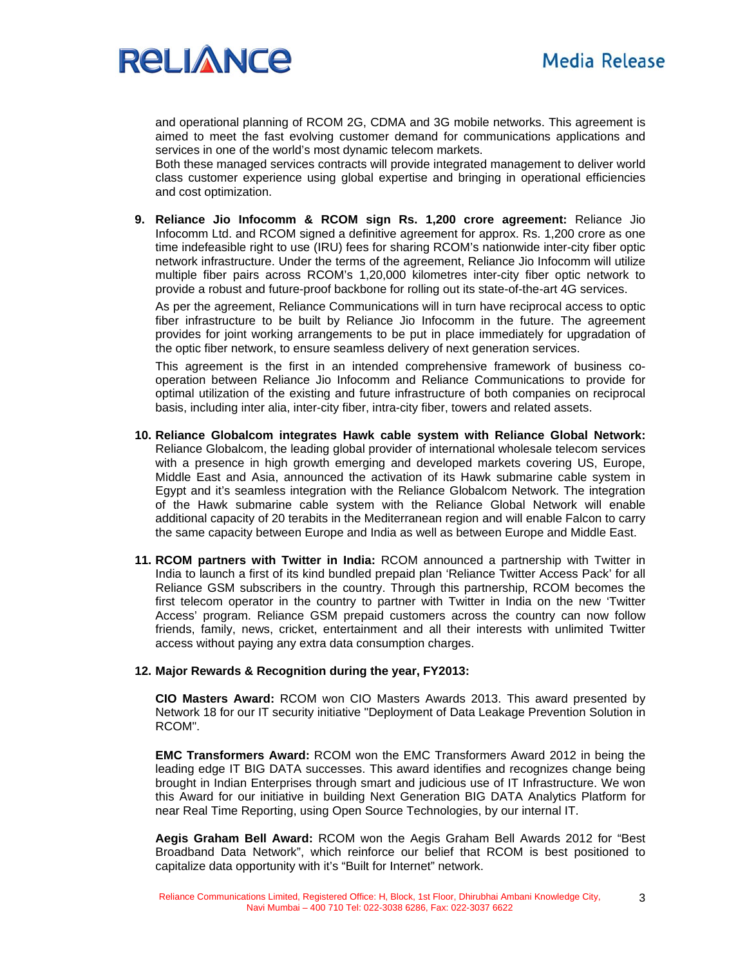

and operational planning of RCOM 2G, CDMA and 3G mobile networks. This agreement is aimed to meet the fast evolving customer demand for communications applications and services in one of the world's most dynamic telecom markets.

Both these managed services contracts will provide integrated management to deliver world class customer experience using global expertise and bringing in operational efficiencies and cost optimization.

**9. Reliance Jio Infocomm & RCOM sign Rs. 1,200 crore agreement:** Reliance Jio Infocomm Ltd. and RCOM signed a definitive agreement for approx. Rs. 1,200 crore as one time indefeasible right to use (IRU) fees for sharing RCOM's nationwide inter-city fiber optic network infrastructure. Under the terms of the agreement, Reliance Jio Infocomm will utilize multiple fiber pairs across RCOM's 1,20,000 kilometres inter-city fiber optic network to provide a robust and future-proof backbone for rolling out its state-of-the-art 4G services.

As per the agreement, Reliance Communications will in turn have reciprocal access to optic fiber infrastructure to be built by Reliance Jio Infocomm in the future. The agreement provides for joint working arrangements to be put in place immediately for upgradation of the optic fiber network, to ensure seamless delivery of next generation services.

This agreement is the first in an intended comprehensive framework of business cooperation between Reliance Jio Infocomm and Reliance Communications to provide for optimal utilization of the existing and future infrastructure of both companies on reciprocal basis, including inter alia, inter-city fiber, intra-city fiber, towers and related assets.

- **10. Reliance Globalcom integrates Hawk cable system with Reliance Global Network:**  Reliance Globalcom, the leading global provider of international wholesale telecom services with a presence in high growth emerging and developed markets covering US, Europe, Middle East and Asia, announced the activation of its Hawk submarine cable system in Egypt and it's seamless integration with the Reliance Globalcom Network. The integration of the Hawk submarine cable system with the Reliance Global Network will enable additional capacity of 20 terabits in the Mediterranean region and will enable Falcon to carry the same capacity between Europe and India as well as between Europe and Middle East.
- **11. RCOM partners with Twitter in India:** RCOM announced a partnership with Twitter in India to launch a first of its kind bundled prepaid plan 'Reliance Twitter Access Pack' for all Reliance GSM subscribers in the country. Through this partnership, RCOM becomes the first telecom operator in the country to partner with Twitter in India on the new 'Twitter Access' program. Reliance GSM prepaid customers across the country can now follow friends, family, news, cricket, entertainment and all their interests with unlimited Twitter access without paying any extra data consumption charges.

#### **12. Major Rewards & Recognition during the year, FY2013:**

**CIO Masters Award:** RCOM won CIO Masters Awards 2013. This award presented by Network 18 for our IT security initiative "Deployment of Data Leakage Prevention Solution in RCOM".

**EMC Transformers Award:** RCOM won the EMC Transformers Award 2012 in being the leading edge IT BIG DATA successes. This award identifies and recognizes change being brought in Indian Enterprises through smart and judicious use of IT Infrastructure. We won this Award for our initiative in building Next Generation BIG DATA Analytics Platform for near Real Time Reporting, using Open Source Technologies, by our internal IT.

**Aegis Graham Bell Award:** RCOM won the Aegis Graham Bell Awards 2012 for "Best Broadband Data Network", which reinforce our belief that RCOM is best positioned to capitalize data opportunity with it's "Built for Internet" network.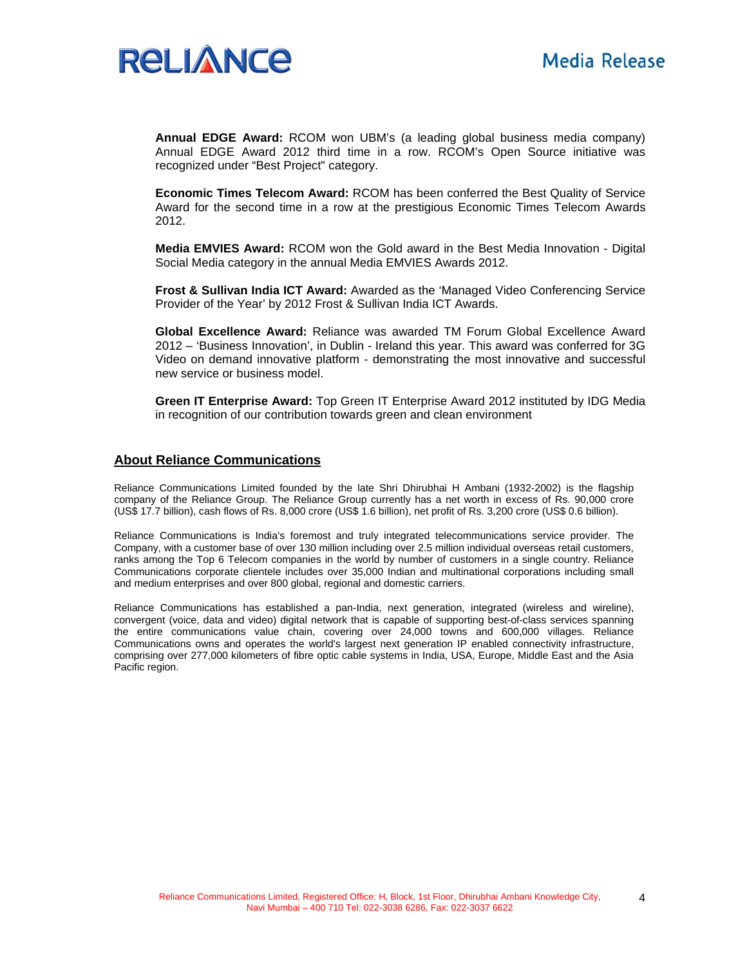

**Annual EDGE Award:** RCOM won UBM's (a leading global business media company) Annual EDGE Award 2012 third time in a row. RCOM's Open Source initiative was recognized under "Best Project" category.

**Economic Times Telecom Award:** RCOM has been conferred the Best Quality of Service Award for the second time in a row at the prestigious Economic Times Telecom Awards 2012.

**Media EMVIES Award:** RCOM won the Gold award in the Best Media Innovation - Digital Social Media category in the annual Media EMVIES Awards 2012.

**Frost & Sullivan India ICT Award:** Awarded as the 'Managed Video Conferencing Service Provider of the Year' by 2012 Frost & Sullivan India ICT Awards.

**Global Excellence Award:** Reliance was awarded TM Forum Global Excellence Award 2012 – 'Business Innovation', in Dublin - Ireland this year. This award was conferred for 3G Video on demand innovative platform - demonstrating the most innovative and successful new service or business model.

**Green IT Enterprise Award:** Top Green IT Enterprise Award 2012 instituted by IDG Media in recognition of our contribution towards green and clean environment

#### **About Reliance Communications**

Reliance Communications Limited founded by the late Shri Dhirubhai H Ambani (1932-2002) is the flagship company of the Reliance Group. The Reliance Group currently has a net worth in excess of Rs. 90,000 crore (US\$ 17.7 billion), cash flows of Rs. 8,000 crore (US\$ 1.6 billion), net profit of Rs. 3,200 crore (US\$ 0.6 billion).

Reliance Communications is India's foremost and truly integrated telecommunications service provider. The Company, with a customer base of over 130 million including over 2.5 million individual overseas retail customers, ranks among the Top 6 Telecom companies in the world by number of customers in a single country. Reliance Communications corporate clientele includes over 35,000 Indian and multinational corporations including small and medium enterprises and over 800 global, regional and domestic carriers.

Reliance Communications has established a pan-India, next generation, integrated (wireless and wireline), convergent (voice, data and video) digital network that is capable of supporting best-of-class services spanning the entire communications value chain, covering over 24,000 towns and 600,000 villages. Reliance Communications owns and operates the world's largest next generation IP enabled connectivity infrastructure, comprising over 277,000 kilometers of fibre optic cable systems in India, USA, Europe, Middle East and the Asia Pacific region.

4